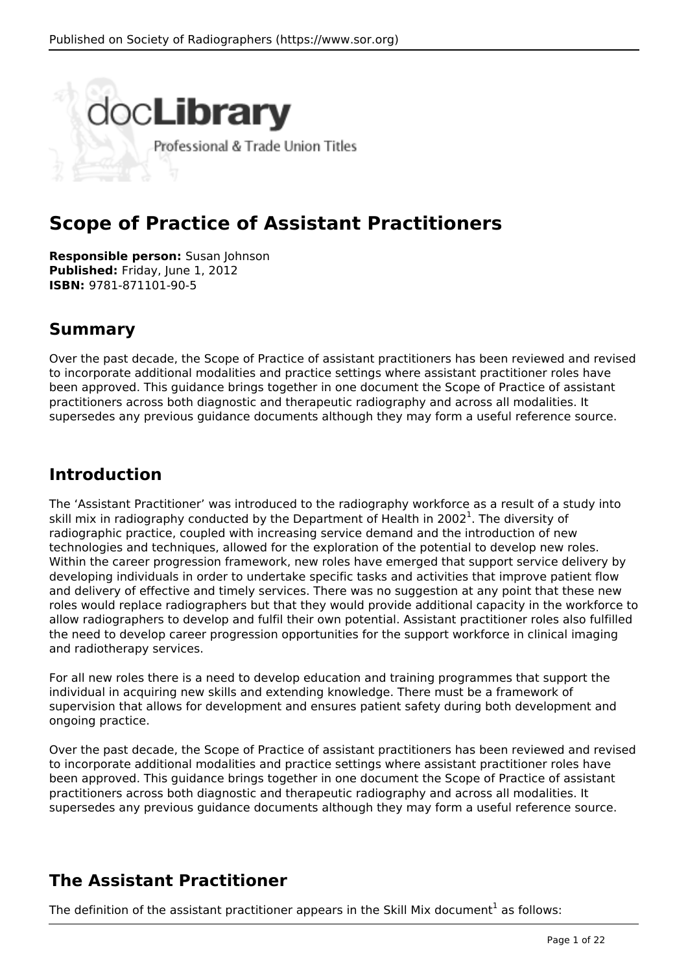

# **Scope of Practice of Assistant Practitioners**

**Responsible person:** Susan Johnson **Published:** Friday, June 1, 2012 **ISBN:** 9781-871101-90-5

# **Summary**

Over the past decade, the Scope of Practice of assistant practitioners has been reviewed and revised to incorporate additional modalities and practice settings where assistant practitioner roles have been approved. This guidance brings together in one document the Scope of Practice of assistant practitioners across both diagnostic and therapeutic radiography and across all modalities. It supersedes any previous guidance documents although they may form a useful reference source.

# **Introduction**

The 'Assistant Practitioner' was introduced to the radiography workforce as a result of a study into skill mix in radiography conducted by the Department of Health in 2002<sup>1</sup>. The diversity of radiographic practice, coupled with increasing service demand and the introduction of new technologies and techniques, allowed for the exploration of the potential to develop new roles. Within the career progression framework, new roles have emerged that support service delivery by developing individuals in order to undertake specific tasks and activities that improve patient flow and delivery of effective and timely services. There was no suggestion at any point that these new roles would replace radiographers but that they would provide additional capacity in the workforce to allow radiographers to develop and fulfil their own potential. Assistant practitioner roles also fulfilled the need to develop career progression opportunities for the support workforce in clinical imaging and radiotherapy services.

For all new roles there is a need to develop education and training programmes that support the individual in acquiring new skills and extending knowledge. There must be a framework of supervision that allows for development and ensures patient safety during both development and ongoing practice.

Over the past decade, the Scope of Practice of assistant practitioners has been reviewed and revised to incorporate additional modalities and practice settings where assistant practitioner roles have been approved. This guidance brings together in one document the Scope of Practice of assistant practitioners across both diagnostic and therapeutic radiography and across all modalities. It supersedes any previous guidance documents although they may form a useful reference source.

# **The Assistant Practitioner**

The definition of the assistant practitioner appears in the Skill Mix document<sup>1</sup> as follows: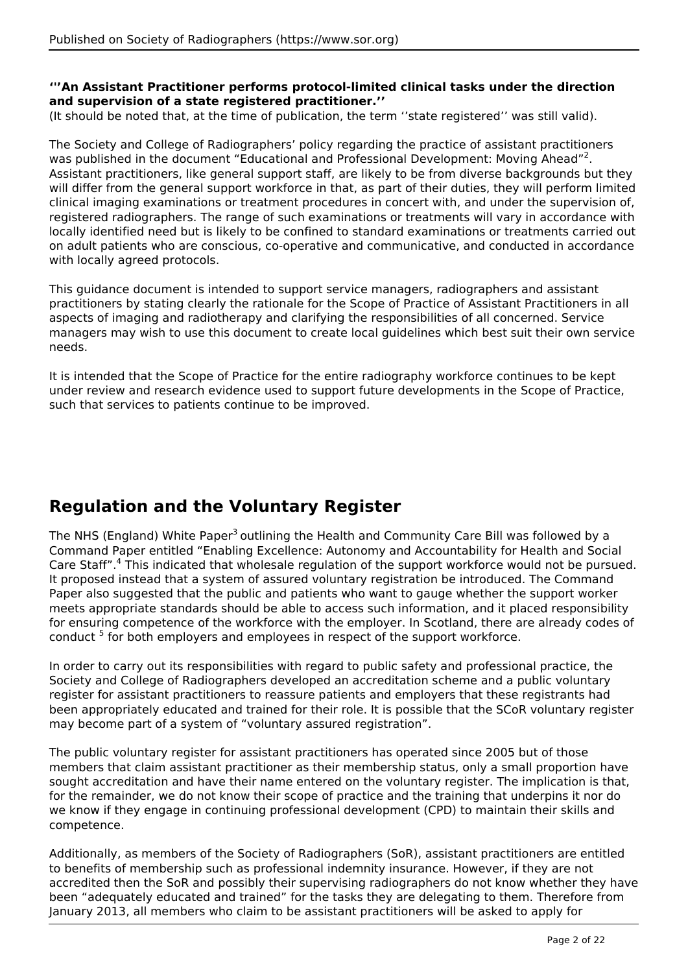#### **'''An Assistant Practitioner performs protocol-limited clinical tasks under the direction and supervision of a state registered practitioner.''**

(It should be noted that, at the time of publication, the term ''state registered'' was still valid).

The Society and College of Radiographers' policy regarding the practice of assistant practitioners was published in the document "Educational and Professional Development: Moving Ahead"<sup>2</sup>. Assistant practitioners, like general support staff, are likely to be from diverse backgrounds but they will differ from the general support workforce in that, as part of their duties, they will perform limited clinical imaging examinations or treatment procedures in concert with, and under the supervision of, registered radiographers. The range of such examinations or treatments will vary in accordance with locally identified need but is likely to be confined to standard examinations or treatments carried out on adult patients who are conscious, co-operative and communicative, and conducted in accordance with locally agreed protocols.

This guidance document is intended to support service managers, radiographers and assistant practitioners by stating clearly the rationale for the Scope of Practice of Assistant Practitioners in all aspects of imaging and radiotherapy and clarifying the responsibilities of all concerned. Service managers may wish to use this document to create local guidelines which best suit their own service needs.

It is intended that the Scope of Practice for the entire radiography workforce continues to be kept under review and research evidence used to support future developments in the Scope of Practice, such that services to patients continue to be improved.

# **Regulation and the Voluntary Register**

The NHS (England) White Paper<sup>3</sup> outlining the Health and Community Care Bill was followed by a Command Paper entitled "Enabling Excellence: Autonomy and Accountability for Health and Social Care Staff".<sup>4</sup> This indicated that wholesale regulation of the support workforce would not be pursued. It proposed instead that a system of assured voluntary registration be introduced. The Command Paper also suggested that the public and patients who want to gauge whether the support worker meets appropriate standards should be able to access such information, and it placed responsibility for ensuring competence of the workforce with the employer. In Scotland, there are already codes of conduct<sup>5</sup> for both employers and employees in respect of the support workforce.

In order to carry out its responsibilities with regard to public safety and professional practice, the Society and College of Radiographers developed an accreditation scheme and a public voluntary register for assistant practitioners to reassure patients and employers that these registrants had been appropriately educated and trained for their role. It is possible that the SCoR voluntary register may become part of a system of "voluntary assured registration".

The public voluntary register for assistant practitioners has operated since 2005 but of those members that claim assistant practitioner as their membership status, only a small proportion have sought accreditation and have their name entered on the voluntary register. The implication is that, for the remainder, we do not know their scope of practice and the training that underpins it nor do we know if they engage in continuing professional development (CPD) to maintain their skills and competence.

Additionally, as members of the Society of Radiographers (SoR), assistant practitioners are entitled to benefits of membership such as professional indemnity insurance. However, if they are not accredited then the SoR and possibly their supervising radiographers do not know whether they have been "adequately educated and trained" for the tasks they are delegating to them. Therefore from January 2013, all members who claim to be assistant practitioners will be asked to apply for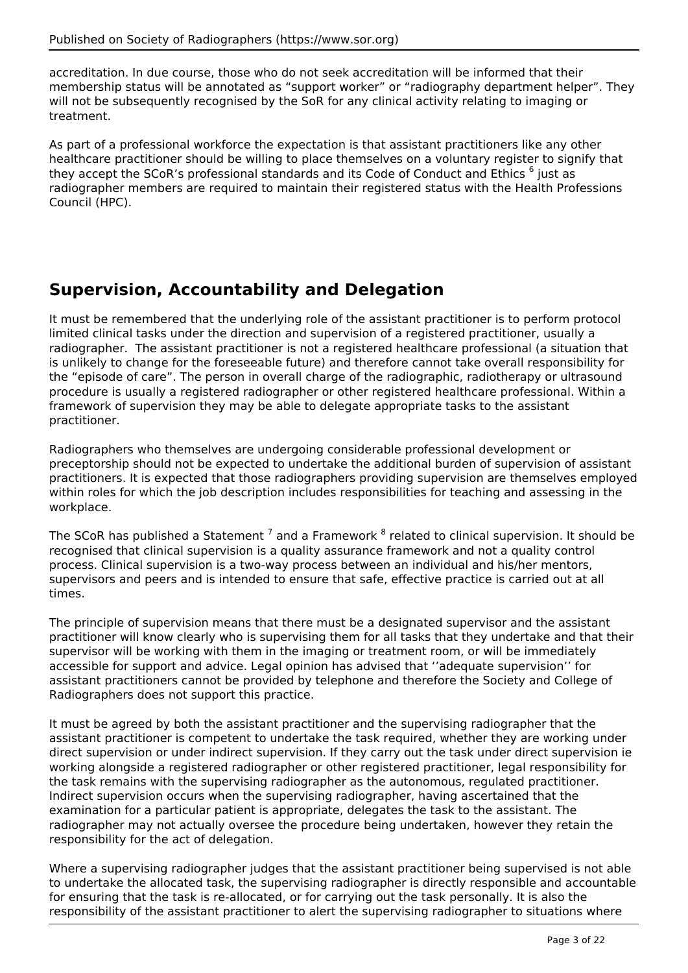accreditation. In due course, those who do not seek accreditation will be informed that their membership status will be annotated as "support worker" or "radiography department helper". They will not be subsequently recognised by the SoR for any clinical activity relating to imaging or treatment.

As part of a professional workforce the expectation is that assistant practitioners like any other healthcare practitioner should be willing to place themselves on a voluntary register to signify that they accept the SCoR's professional standards and its Code of Conduct and Ethics <sup>6</sup> just as radiographer members are required to maintain their registered status with the Health Professions Council (HPC).

# **Supervision, Accountability and Delegation**

It must be remembered that the underlying role of the assistant practitioner is to perform protocol limited clinical tasks under the direction and supervision of a registered practitioner, usually a radiographer. The assistant practitioner is not a registered healthcare professional (a situation that is unlikely to change for the foreseeable future) and therefore cannot take overall responsibility for the "episode of care". The person in overall charge of the radiographic, radiotherapy or ultrasound procedure is usually a registered radiographer or other registered healthcare professional. Within a framework of supervision they may be able to delegate appropriate tasks to the assistant practitioner.

Radiographers who themselves are undergoing considerable professional development or preceptorship should not be expected to undertake the additional burden of supervision of assistant practitioners. It is expected that those radiographers providing supervision are themselves employed within roles for which the job description includes responsibilities for teaching and assessing in the workplace.

The SCoR has published a Statement <sup>7</sup> and a Framework <sup>8</sup> related to clinical supervision. It should be recognised that clinical supervision is a quality assurance framework and not a quality control process. Clinical supervision is a two-way process between an individual and his/her mentors, supervisors and peers and is intended to ensure that safe, effective practice is carried out at all times.

The principle of supervision means that there must be a designated supervisor and the assistant practitioner will know clearly who is supervising them for all tasks that they undertake and that their supervisor will be working with them in the imaging or treatment room, or will be immediately accessible for support and advice. Legal opinion has advised that ''adequate supervision'' for assistant practitioners cannot be provided by telephone and therefore the Society and College of Radiographers does not support this practice.

It must be agreed by both the assistant practitioner and the supervising radiographer that the assistant practitioner is competent to undertake the task required, whether they are working under direct supervision or under indirect supervision. If they carry out the task under direct supervision ie working alongside a registered radiographer or other registered practitioner, legal responsibility for the task remains with the supervising radiographer as the autonomous, regulated practitioner. Indirect supervision occurs when the supervising radiographer, having ascertained that the examination for a particular patient is appropriate, delegates the task to the assistant. The radiographer may not actually oversee the procedure being undertaken, however they retain the responsibility for the act of delegation.

Where a supervising radiographer judges that the assistant practitioner being supervised is not able to undertake the allocated task, the supervising radiographer is directly responsible and accountable for ensuring that the task is re-allocated, or for carrying out the task personally. It is also the responsibility of the assistant practitioner to alert the supervising radiographer to situations where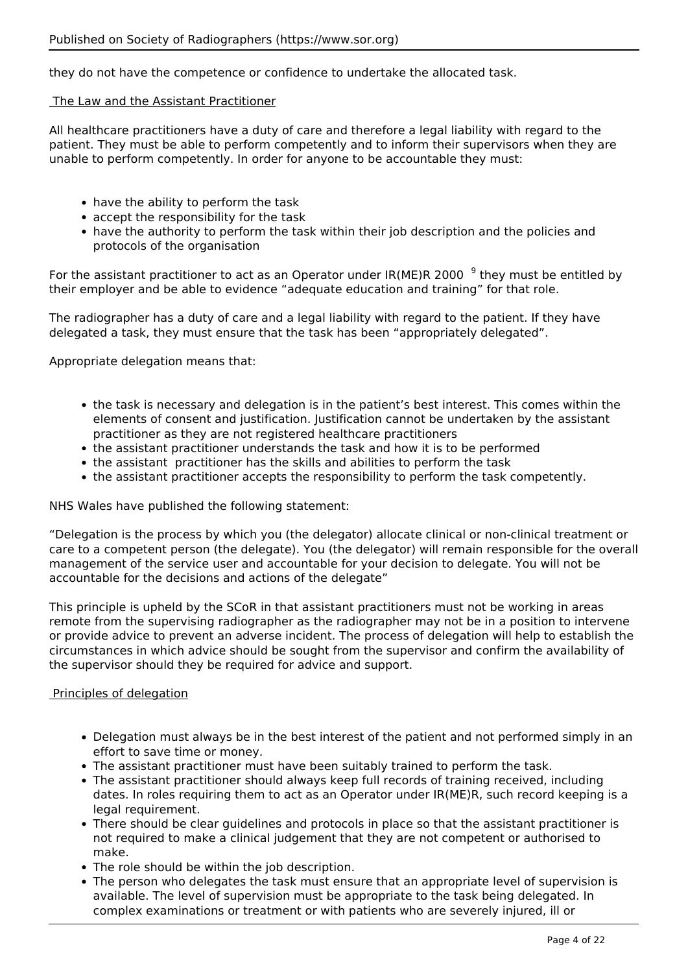they do not have the competence or confidence to undertake the allocated task.

#### The Law and the Assistant Practitioner

All healthcare practitioners have a duty of care and therefore a legal liability with regard to the patient. They must be able to perform competently and to inform their supervisors when they are unable to perform competently. In order for anyone to be accountable they must:

- have the ability to perform the task
- accept the responsibility for the task
- have the authority to perform the task within their job description and the policies and protocols of the organisation

For the assistant practitioner to act as an Operator under IR(ME)R 2000 <sup>9</sup> they must be entitled by their employer and be able to evidence "adequate education and training" for that role.

The radiographer has a duty of care and a legal liability with regard to the patient. If they have delegated a task, they must ensure that the task has been "appropriately delegated".

Appropriate delegation means that:

- the task is necessary and delegation is in the patient's best interest. This comes within the elements of consent and justification. Justification cannot be undertaken by the assistant practitioner as they are not registered healthcare practitioners
- the assistant practitioner understands the task and how it is to be performed
- the assistant practitioner has the skills and abilities to perform the task
- the assistant practitioner accepts the responsibility to perform the task competently.

#### NHS Wales have published the following statement:

"Delegation is the process by which you (the delegator) allocate clinical or non-clinical treatment or care to a competent person (the delegate). You (the delegator) will remain responsible for the overall management of the service user and accountable for your decision to delegate. You will not be accountable for the decisions and actions of the delegate"

This principle is upheld by the SCoR in that assistant practitioners must not be working in areas remote from the supervising radiographer as the radiographer may not be in a position to intervene or provide advice to prevent an adverse incident. The process of delegation will help to establish the circumstances in which advice should be sought from the supervisor and confirm the availability of the supervisor should they be required for advice and support.

#### Principles of delegation

- Delegation must always be in the best interest of the patient and not performed simply in an effort to save time or money.
- The assistant practitioner must have been suitably trained to perform the task.
- The assistant practitioner should always keep full records of training received, including dates. In roles requiring them to act as an Operator under IR(ME)R, such record keeping is a legal requirement.
- There should be clear guidelines and protocols in place so that the assistant practitioner is not required to make a clinical judgement that they are not competent or authorised to make.
- The role should be within the job description.
- The person who delegates the task must ensure that an appropriate level of supervision is available. The level of supervision must be appropriate to the task being delegated. In complex examinations or treatment or with patients who are severely injured, ill or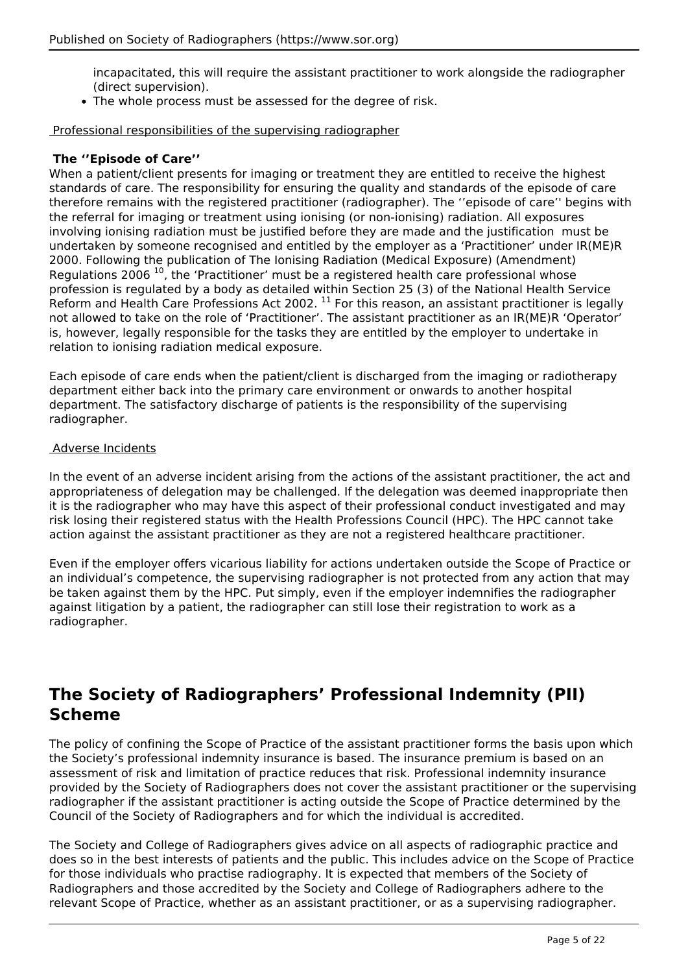incapacitated, this will require the assistant practitioner to work alongside the radiographer (direct supervision).

The whole process must be assessed for the degree of risk.

Professional responsibilities of the supervising radiographer

#### **The ''Episode of Care''**

When a patient/client presents for imaging or treatment they are entitled to receive the highest standards of care. The responsibility for ensuring the quality and standards of the episode of care therefore remains with the registered practitioner (radiographer). The ''episode of care'' begins with the referral for imaging or treatment using ionising (or non-ionising) radiation. All exposures involving ionising radiation must be justified before they are made and the justification must be undertaken by someone recognised and entitled by the employer as a 'Practitioner' under IR(ME)R 2000. Following the publication of The Ionising Radiation (Medical Exposure) (Amendment) Regulations 2006  $^{10}$ , the 'Practitioner' must be a registered health care professional whose profession is regulated by a body as detailed within Section 25 (3) of the National Health Service Reform and Health Care Professions Act 2002.  $^{11}$  For this reason, an assistant practitioner is legally not allowed to take on the role of 'Practitioner'. The assistant practitioner as an IR(ME)R 'Operator' is, however, legally responsible for the tasks they are entitled by the employer to undertake in relation to ionising radiation medical exposure.

Each episode of care ends when the patient/client is discharged from the imaging or radiotherapy department either back into the primary care environment or onwards to another hospital department. The satisfactory discharge of patients is the responsibility of the supervising radiographer.

#### Adverse Incidents

In the event of an adverse incident arising from the actions of the assistant practitioner, the act and appropriateness of delegation may be challenged. If the delegation was deemed inappropriate then it is the radiographer who may have this aspect of their professional conduct investigated and may risk losing their registered status with the Health Professions Council (HPC). The HPC cannot take action against the assistant practitioner as they are not a registered healthcare practitioner.

Even if the employer offers vicarious liability for actions undertaken outside the Scope of Practice or an individual's competence, the supervising radiographer is not protected from any action that may be taken against them by the HPC. Put simply, even if the employer indemnifies the radiographer against litigation by a patient, the radiographer can still lose their registration to work as a radiographer.

# **The Society of Radiographers' Professional Indemnity (PII) Scheme**

The policy of confining the Scope of Practice of the assistant practitioner forms the basis upon which the Society's professional indemnity insurance is based. The insurance premium is based on an assessment of risk and limitation of practice reduces that risk. Professional indemnity insurance provided by the Society of Radiographers does not cover the assistant practitioner or the supervising radiographer if the assistant practitioner is acting outside the Scope of Practice determined by the Council of the Society of Radiographers and for which the individual is accredited.

The Society and College of Radiographers gives advice on all aspects of radiographic practice and does so in the best interests of patients and the public. This includes advice on the Scope of Practice for those individuals who practise radiography. It is expected that members of the Society of Radiographers and those accredited by the Society and College of Radiographers adhere to the relevant Scope of Practice, whether as an assistant practitioner, or as a supervising radiographer.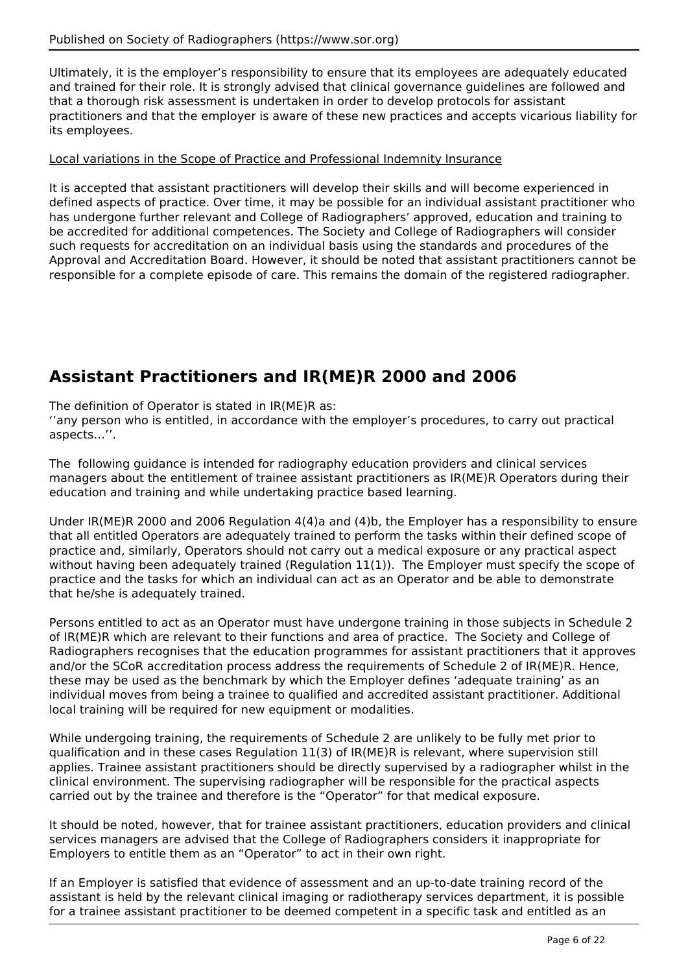Ultimately, it is the employer's responsibility to ensure that its employees are adequately educated and trained for their role. It is strongly advised that clinical governance guidelines are followed and that a thorough risk assessment is undertaken in order to develop protocols for assistant practitioners and that the employer is aware of these new practices and accepts vicarious liability for its employees.

#### Local variations in the Scope of Practice and Professional Indemnity Insurance

It is accepted that assistant practitioners will develop their skills and will become experienced in defined aspects of practice. Over time, it may be possible for an individual assistant practitioner who has undergone further relevant and College of Radiographers' approved, education and training to be accredited for additional competences. The Society and College of Radiographers will consider such requests for accreditation on an individual basis using the standards and procedures of the Approval and Accreditation Board. However, it should be noted that assistant practitioners cannot be responsible for a complete episode of care. This remains the domain of the registered radiographer.

# **Assistant Practitioners and IR(ME)R 2000 and 2006**

The definition of Operator is stated in IR(ME)R as:

''any person who is entitled, in accordance with the employer's procedures, to carry out practical aspects…''.

The following guidance is intended for radiography education providers and clinical services managers about the entitlement of trainee assistant practitioners as IR(ME)R Operators during their education and training and while undertaking practice based learning.

Under IR(ME)R 2000 and 2006 Regulation 4(4)a and (4)b, the Employer has a responsibility to ensure that all entitled Operators are adequately trained to perform the tasks within their defined scope of practice and, similarly, Operators should not carry out a medical exposure or any practical aspect without having been adequately trained (Regulation 11(1)). The Employer must specify the scope of practice and the tasks for which an individual can act as an Operator and be able to demonstrate that he/she is adequately trained.

Persons entitled to act as an Operator must have undergone training in those subjects in Schedule 2 of IR(ME)R which are relevant to their functions and area of practice. The Society and College of Radiographers recognises that the education programmes for assistant practitioners that it approves and/or the SCoR accreditation process address the requirements of Schedule 2 of IR(ME)R. Hence, these may be used as the benchmark by which the Employer defines 'adequate training' as an individual moves from being a trainee to qualified and accredited assistant practitioner. Additional local training will be required for new equipment or modalities.

While undergoing training, the requirements of Schedule 2 are unlikely to be fully met prior to qualification and in these cases Regulation 11(3) of IR(ME)R is relevant, where supervision still applies. Trainee assistant practitioners should be directly supervised by a radiographer whilst in the clinical environment. The supervising radiographer will be responsible for the practical aspects carried out by the trainee and therefore is the "Operator" for that medical exposure.

It should be noted, however, that for trainee assistant practitioners, education providers and clinical services managers are advised that the College of Radiographers considers it inappropriate for Employers to entitle them as an "Operator" to act in their own right.

If an Employer is satisfied that evidence of assessment and an up-to-date training record of the assistant is held by the relevant clinical imaging or radiotherapy services department, it is possible for a trainee assistant practitioner to be deemed competent in a specific task and entitled as an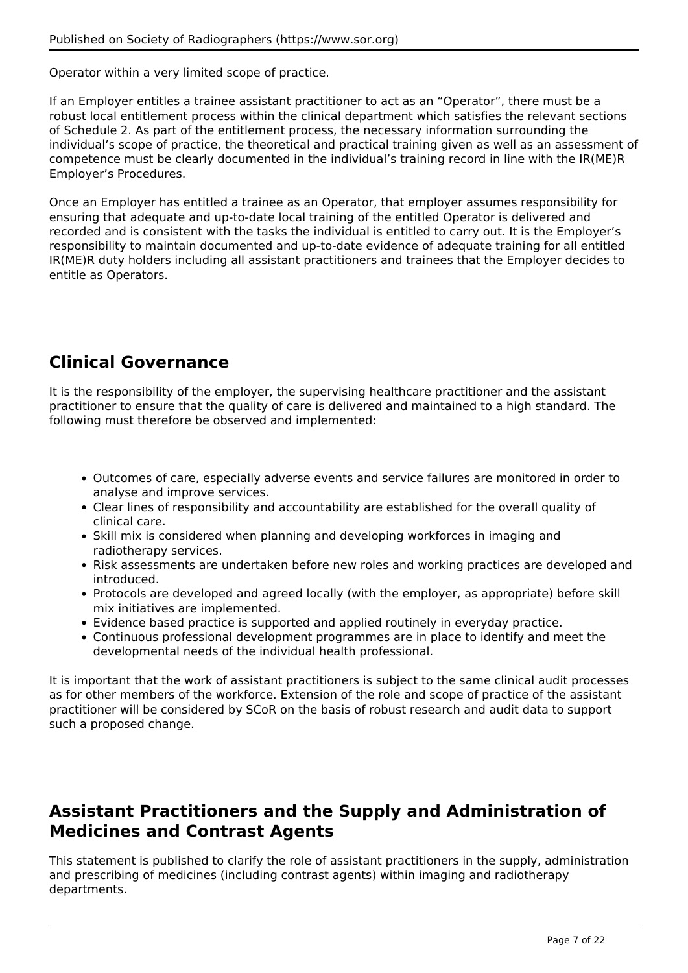Operator within a very limited scope of practice.

If an Employer entitles a trainee assistant practitioner to act as an "Operator", there must be a robust local entitlement process within the clinical department which satisfies the relevant sections of Schedule 2. As part of the entitlement process, the necessary information surrounding the individual's scope of practice, the theoretical and practical training given as well as an assessment of competence must be clearly documented in the individual's training record in line with the IR(ME)R Employer's Procedures.

Once an Employer has entitled a trainee as an Operator, that employer assumes responsibility for ensuring that adequate and up-to-date local training of the entitled Operator is delivered and recorded and is consistent with the tasks the individual is entitled to carry out. It is the Employer's responsibility to maintain documented and up-to-date evidence of adequate training for all entitled IR(ME)R duty holders including all assistant practitioners and trainees that the Employer decides to entitle as Operators.

# **Clinical Governance**

It is the responsibility of the employer, the supervising healthcare practitioner and the assistant practitioner to ensure that the quality of care is delivered and maintained to a high standard. The following must therefore be observed and implemented:

- Outcomes of care, especially adverse events and service failures are monitored in order to analyse and improve services.
- Clear lines of responsibility and accountability are established for the overall quality of clinical care.
- Skill mix is considered when planning and developing workforces in imaging and radiotherapy services.
- Risk assessments are undertaken before new roles and working practices are developed and introduced.
- Protocols are developed and agreed locally (with the employer, as appropriate) before skill mix initiatives are implemented.
- Evidence based practice is supported and applied routinely in everyday practice.
- Continuous professional development programmes are in place to identify and meet the developmental needs of the individual health professional.

It is important that the work of assistant practitioners is subject to the same clinical audit processes as for other members of the workforce. Extension of the role and scope of practice of the assistant practitioner will be considered by SCoR on the basis of robust research and audit data to support such a proposed change.

# **Assistant Practitioners and the Supply and Administration of Medicines and Contrast Agents**

This statement is published to clarify the role of assistant practitioners in the supply, administration and prescribing of medicines (including contrast agents) within imaging and radiotherapy departments.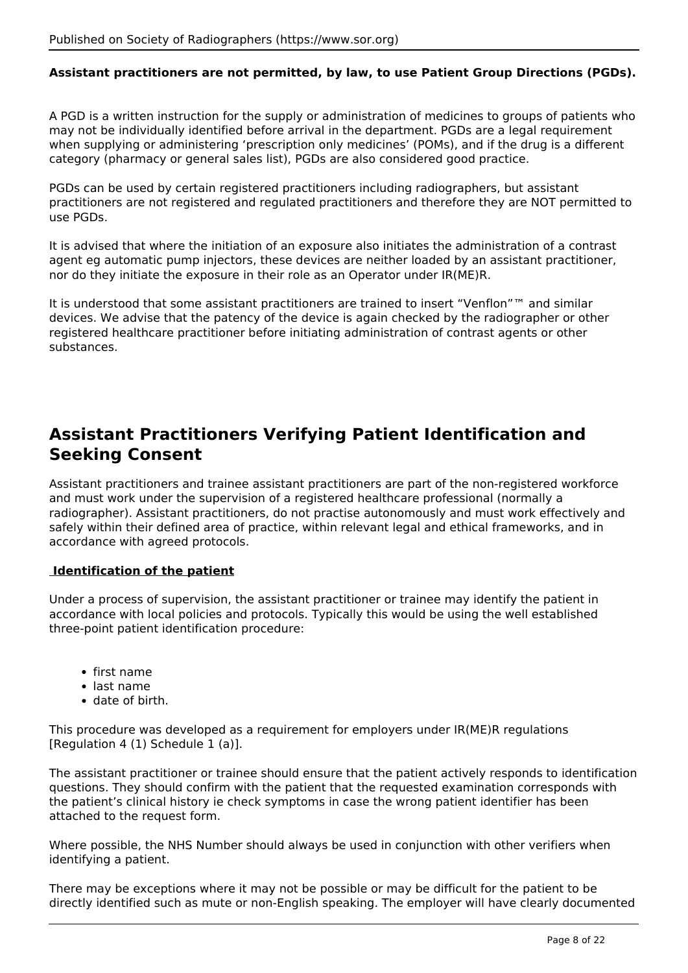### **Assistant practitioners are not permitted, by law, to use Patient Group Directions (PGDs).**

A PGD is a written instruction for the supply or administration of medicines to groups of patients who may not be individually identified before arrival in the department. PGDs are a legal requirement when supplying or administering 'prescription only medicines' (POMs), and if the drug is a different category (pharmacy or general sales list), PGDs are also considered good practice.

PGDs can be used by certain registered practitioners including radiographers, but assistant practitioners are not registered and regulated practitioners and therefore they are NOT permitted to use PGDs.

It is advised that where the initiation of an exposure also initiates the administration of a contrast agent eg automatic pump injectors, these devices are neither loaded by an assistant practitioner, nor do they initiate the exposure in their role as an Operator under IR(ME)R.

It is understood that some assistant practitioners are trained to insert "Venflon"™ and similar devices. We advise that the patency of the device is again checked by the radiographer or other registered healthcare practitioner before initiating administration of contrast agents or other substances.

# **Assistant Practitioners Verifying Patient Identification and Seeking Consent**

Assistant practitioners and trainee assistant practitioners are part of the non-registered workforce and must work under the supervision of a registered healthcare professional (normally a radiographer). Assistant practitioners, do not practise autonomously and must work effectively and safely within their defined area of practice, within relevant legal and ethical frameworks, and in accordance with agreed protocols.

### **Identification of the patient**

Under a process of supervision, the assistant practitioner or trainee may identify the patient in accordance with local policies and protocols. Typically this would be using the well established three-point patient identification procedure:

- first name
- last name
- date of birth.

This procedure was developed as a requirement for employers under IR(ME)R regulations [Regulation 4 (1) Schedule 1 (a)].

The assistant practitioner or trainee should ensure that the patient actively responds to identification questions. They should confirm with the patient that the requested examination corresponds with the patient's clinical history ie check symptoms in case the wrong patient identifier has been attached to the request form.

Where possible, the NHS Number should always be used in conjunction with other verifiers when identifying a patient.

There may be exceptions where it may not be possible or may be difficult for the patient to be directly identified such as mute or non-English speaking. The employer will have clearly documented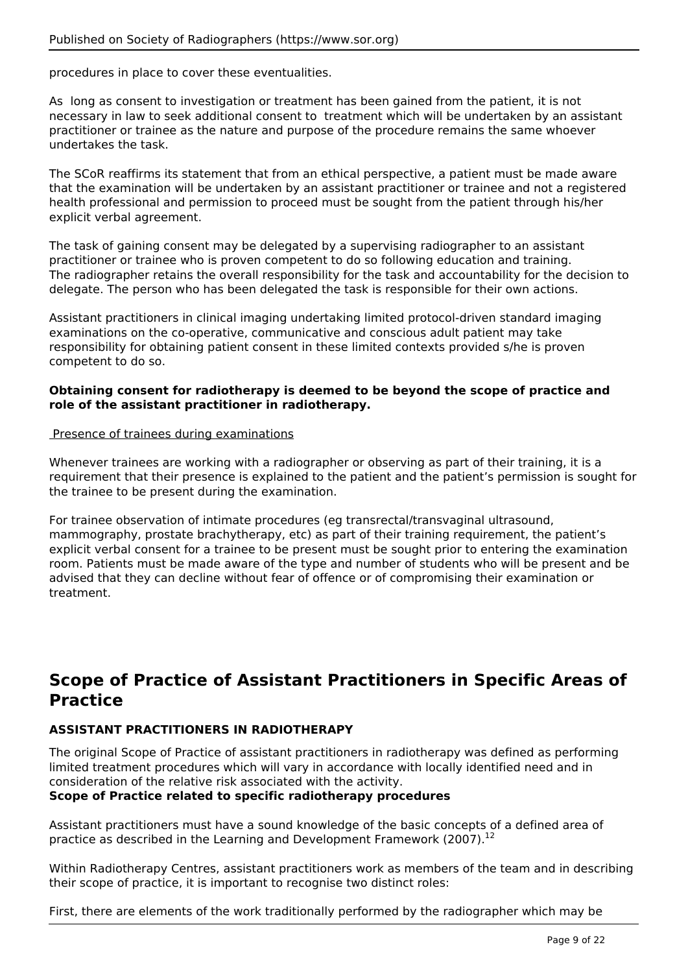procedures in place to cover these eventualities.

As long as consent to investigation or treatment has been gained from the patient, it is not necessary in law to seek additional consent to treatment which will be undertaken by an assistant practitioner or trainee as the nature and purpose of the procedure remains the same whoever undertakes the task.

The SCoR reaffirms its statement that from an ethical perspective, a patient must be made aware that the examination will be undertaken by an assistant practitioner or trainee and not a registered health professional and permission to proceed must be sought from the patient through his/her explicit verbal agreement.

The task of gaining consent may be delegated by a supervising radiographer to an assistant practitioner or trainee who is proven competent to do so following education and training. The radiographer retains the overall responsibility for the task and accountability for the decision to delegate. The person who has been delegated the task is responsible for their own actions.

Assistant practitioners in clinical imaging undertaking limited protocol-driven standard imaging examinations on the co-operative, communicative and conscious adult patient may take responsibility for obtaining patient consent in these limited contexts provided s/he is proven competent to do so.

### **Obtaining consent for radiotherapy is deemed to be beyond the scope of practice and role of the assistant practitioner in radiotherapy.**

#### Presence of trainees during examinations

Whenever trainees are working with a radiographer or observing as part of their training, it is a requirement that their presence is explained to the patient and the patient's permission is sought for the trainee to be present during the examination.

For trainee observation of intimate procedures (eg transrectal/transvaginal ultrasound, mammography, prostate brachytherapy, etc) as part of their training requirement, the patient's explicit verbal consent for a trainee to be present must be sought prior to entering the examination room. Patients must be made aware of the type and number of students who will be present and be advised that they can decline without fear of offence or of compromising their examination or treatment.

# **Scope of Practice of Assistant Practitioners in Specific Areas of Practice**

# **ASSISTANT PRACTITIONERS IN RADIOTHERAPY**

The original Scope of Practice of assistant practitioners in radiotherapy was defined as performing limited treatment procedures which will vary in accordance with locally identified need and in consideration of the relative risk associated with the activity.

### **Scope of Practice related to specific radiotherapy procedures**

Assistant practitioners must have a sound knowledge of the basic concepts of a defined area of practice as described in the Learning and Development Framework (2007).<sup>12</sup>

Within Radiotherapy Centres, assistant practitioners work as members of the team and in describing their scope of practice, it is important to recognise two distinct roles:

First, there are elements of the work traditionally performed by the radiographer which may be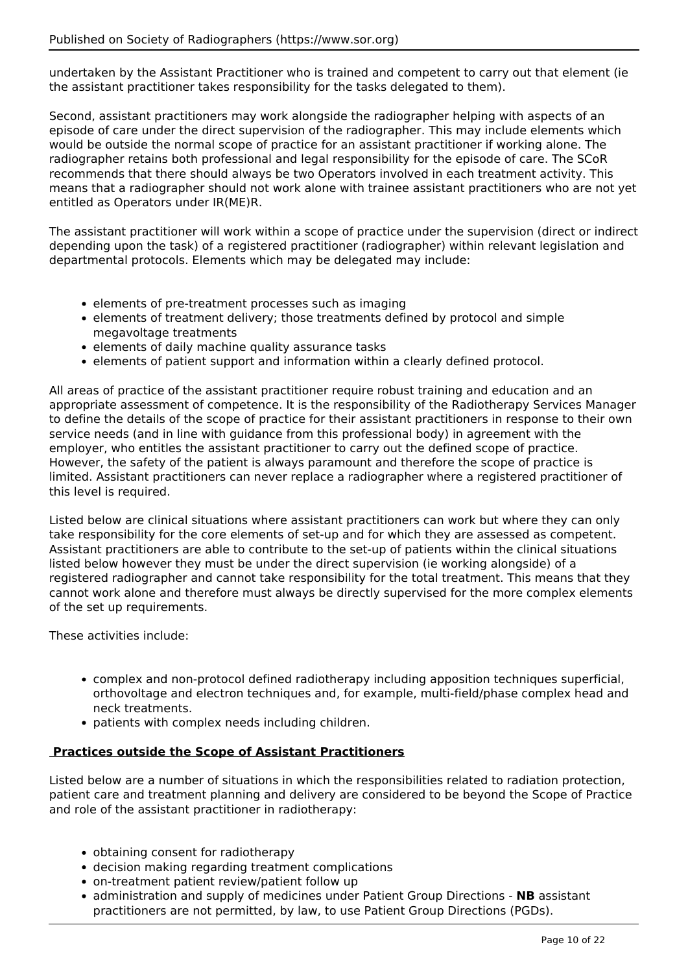undertaken by the Assistant Practitioner who is trained and competent to carry out that element (ie the assistant practitioner takes responsibility for the tasks delegated to them).

Second, assistant practitioners may work alongside the radiographer helping with aspects of an episode of care under the direct supervision of the radiographer. This may include elements which would be outside the normal scope of practice for an assistant practitioner if working alone. The radiographer retains both professional and legal responsibility for the episode of care. The SCoR recommends that there should always be two Operators involved in each treatment activity. This means that a radiographer should not work alone with trainee assistant practitioners who are not yet entitled as Operators under IR(ME)R.

The assistant practitioner will work within a scope of practice under the supervision (direct or indirect depending upon the task) of a registered practitioner (radiographer) within relevant legislation and departmental protocols. Elements which may be delegated may include:

- elements of pre-treatment processes such as imaging
- elements of treatment delivery; those treatments defined by protocol and simple megavoltage treatments
- elements of daily machine quality assurance tasks
- elements of patient support and information within a clearly defined protocol.

All areas of practice of the assistant practitioner require robust training and education and an appropriate assessment of competence. It is the responsibility of the Radiotherapy Services Manager to define the details of the scope of practice for their assistant practitioners in response to their own service needs (and in line with guidance from this professional body) in agreement with the employer, who entitles the assistant practitioner to carry out the defined scope of practice. However, the safety of the patient is always paramount and therefore the scope of practice is limited. Assistant practitioners can never replace a radiographer where a registered practitioner of this level is required.

Listed below are clinical situations where assistant practitioners can work but where they can only take responsibility for the core elements of set-up and for which they are assessed as competent. Assistant practitioners are able to contribute to the set-up of patients within the clinical situations listed below however they must be under the direct supervision (ie working alongside) of a registered radiographer and cannot take responsibility for the total treatment. This means that they cannot work alone and therefore must always be directly supervised for the more complex elements of the set up requirements.

These activities include:

- complex and non-protocol defined radiotherapy including apposition techniques superficial, orthovoltage and electron techniques and, for example, multi-field/phase complex head and neck treatments.
- patients with complex needs including children.

#### **Practices outside the Scope of Assistant Practitioners**

Listed below are a number of situations in which the responsibilities related to radiation protection, patient care and treatment planning and delivery are considered to be beyond the Scope of Practice and role of the assistant practitioner in radiotherapy:

- obtaining consent for radiotherapy
- decision making regarding treatment complications
- on-treatment patient review/patient follow up
- administration and supply of medicines under Patient Group Directions **NB** assistant practitioners are not permitted, by law, to use Patient Group Directions (PGDs).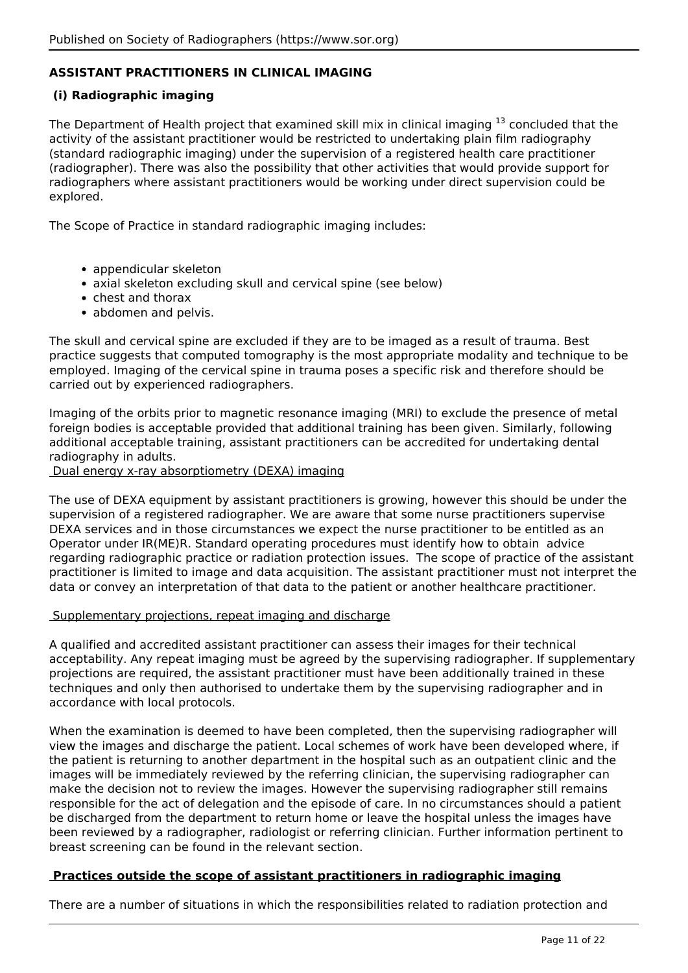# **ASSISTANT PRACTITIONERS IN CLINICAL IMAGING**

### **(i) Radiographic imaging**

The Department of Health project that examined skill mix in clinical imaging  $13$  concluded that the activity of the assistant practitioner would be restricted to undertaking plain film radiography (standard radiographic imaging) under the supervision of a registered health care practitioner (radiographer). There was also the possibility that other activities that would provide support for radiographers where assistant practitioners would be working under direct supervision could be explored.

The Scope of Practice in standard radiographic imaging includes:

- appendicular skeleton
- axial skeleton excluding skull and cervical spine (see below)
- chest and thorax
- abdomen and pelvis.

The skull and cervical spine are excluded if they are to be imaged as a result of trauma. Best practice suggests that computed tomography is the most appropriate modality and technique to be employed. Imaging of the cervical spine in trauma poses a specific risk and therefore should be carried out by experienced radiographers.

Imaging of the orbits prior to magnetic resonance imaging (MRI) to exclude the presence of metal foreign bodies is acceptable provided that additional training has been given. Similarly, following additional acceptable training, assistant practitioners can be accredited for undertaking dental radiography in adults.

Dual energy x-ray absorptiometry (DEXA) imaging

The use of DEXA equipment by assistant practitioners is growing, however this should be under the supervision of a registered radiographer. We are aware that some nurse practitioners supervise DEXA services and in those circumstances we expect the nurse practitioner to be entitled as an Operator under IR(ME)R. Standard operating procedures must identify how to obtain advice regarding radiographic practice or radiation protection issues. The scope of practice of the assistant practitioner is limited to image and data acquisition. The assistant practitioner must not interpret the data or convey an interpretation of that data to the patient or another healthcare practitioner.

#### Supplementary projections, repeat imaging and discharge

A qualified and accredited assistant practitioner can assess their images for their technical acceptability. Any repeat imaging must be agreed by the supervising radiographer. If supplementary projections are required, the assistant practitioner must have been additionally trained in these techniques and only then authorised to undertake them by the supervising radiographer and in accordance with local protocols.

When the examination is deemed to have been completed, then the supervising radiographer will view the images and discharge the patient. Local schemes of work have been developed where, if the patient is returning to another department in the hospital such as an outpatient clinic and the images will be immediately reviewed by the referring clinician, the supervising radiographer can make the decision not to review the images. However the supervising radiographer still remains responsible for the act of delegation and the episode of care. In no circumstances should a patient be discharged from the department to return home or leave the hospital unless the images have been reviewed by a radiographer, radiologist or referring clinician. Further information pertinent to breast screening can be found in the relevant section.

### **Practices outside the scope of assistant practitioners in radiographic imaging**

There are a number of situations in which the responsibilities related to radiation protection and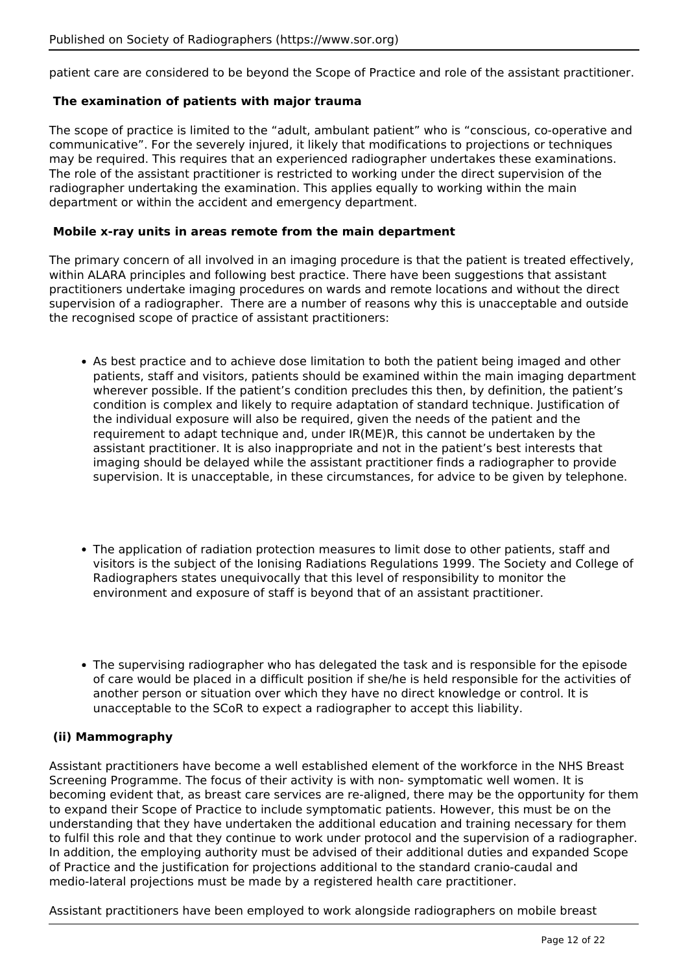patient care are considered to be beyond the Scope of Practice and role of the assistant practitioner.

#### **The examination of patients with major trauma**

The scope of practice is limited to the "adult, ambulant patient" who is "conscious, co-operative and communicative". For the severely injured, it likely that modifications to projections or techniques may be required. This requires that an experienced radiographer undertakes these examinations. The role of the assistant practitioner is restricted to working under the direct supervision of the radiographer undertaking the examination. This applies equally to working within the main department or within the accident and emergency department.

#### **Mobile x-ray units in areas remote from the main department**

The primary concern of all involved in an imaging procedure is that the patient is treated effectively, within ALARA principles and following best practice. There have been suggestions that assistant practitioners undertake imaging procedures on wards and remote locations and without the direct supervision of a radiographer. There are a number of reasons why this is unacceptable and outside the recognised scope of practice of assistant practitioners:

- As best practice and to achieve dose limitation to both the patient being imaged and other patients, staff and visitors, patients should be examined within the main imaging department wherever possible. If the patient's condition precludes this then, by definition, the patient's condition is complex and likely to require adaptation of standard technique. Justification of the individual exposure will also be required, given the needs of the patient and the requirement to adapt technique and, under IR(ME)R, this cannot be undertaken by the assistant practitioner. It is also inappropriate and not in the patient's best interests that imaging should be delayed while the assistant practitioner finds a radiographer to provide supervision. It is unacceptable, in these circumstances, for advice to be given by telephone.
- The application of radiation protection measures to limit dose to other patients, staff and visitors is the subject of the Ionising Radiations Regulations 1999. The Society and College of Radiographers states unequivocally that this level of responsibility to monitor the environment and exposure of staff is beyond that of an assistant practitioner.
- The supervising radiographer who has delegated the task and is responsible for the episode of care would be placed in a difficult position if she/he is held responsible for the activities of another person or situation over which they have no direct knowledge or control. It is unacceptable to the SCoR to expect a radiographer to accept this liability.

### **(ii) Mammography**

Assistant practitioners have become a well established element of the workforce in the NHS Breast Screening Programme. The focus of their activity is with non- symptomatic well women. It is becoming evident that, as breast care services are re-aligned, there may be the opportunity for them to expand their Scope of Practice to include symptomatic patients. However, this must be on the understanding that they have undertaken the additional education and training necessary for them to fulfil this role and that they continue to work under protocol and the supervision of a radiographer. In addition, the employing authority must be advised of their additional duties and expanded Scope of Practice and the justification for projections additional to the standard cranio-caudal and medio-lateral projections must be made by a registered health care practitioner.

Assistant practitioners have been employed to work alongside radiographers on mobile breast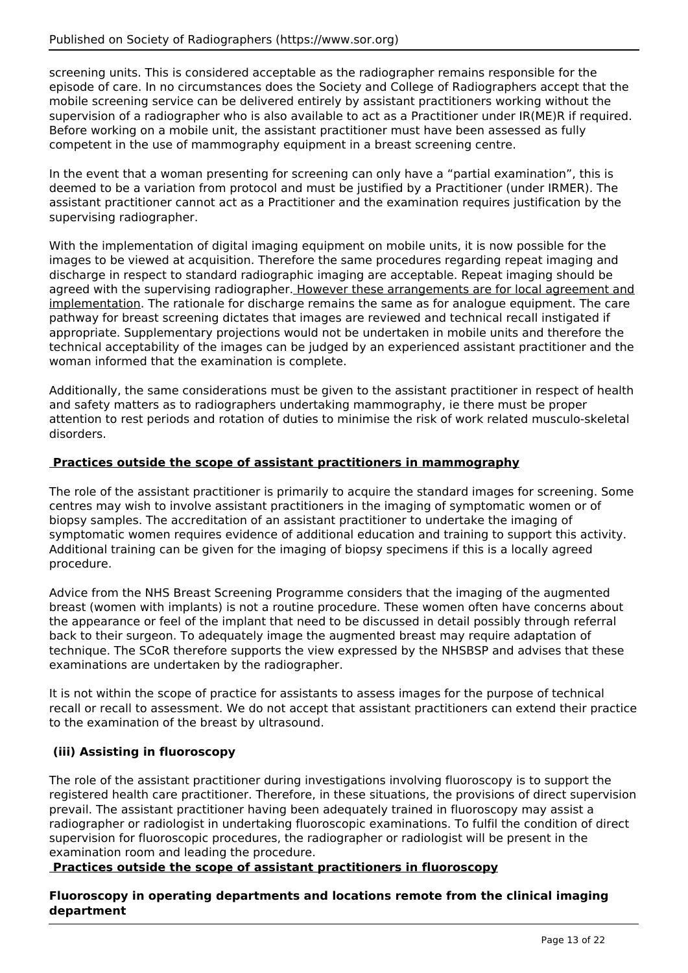screening units. This is considered acceptable as the radiographer remains responsible for the episode of care. In no circumstances does the Society and College of Radiographers accept that the mobile screening service can be delivered entirely by assistant practitioners working without the supervision of a radiographer who is also available to act as a Practitioner under IR(ME)R if required. Before working on a mobile unit, the assistant practitioner must have been assessed as fully competent in the use of mammography equipment in a breast screening centre.

In the event that a woman presenting for screening can only have a "partial examination", this is deemed to be a variation from protocol and must be justified by a Practitioner (under IRMER). The assistant practitioner cannot act as a Practitioner and the examination requires justification by the supervising radiographer.

With the implementation of digital imaging equipment on mobile units, it is now possible for the images to be viewed at acquisition. Therefore the same procedures regarding repeat imaging and discharge in respect to standard radiographic imaging are acceptable. Repeat imaging should be agreed with the supervising radiographer. However these arrangements are for local agreement and implementation. The rationale for discharge remains the same as for analogue equipment. The care pathway for breast screening dictates that images are reviewed and technical recall instigated if appropriate. Supplementary projections would not be undertaken in mobile units and therefore the technical acceptability of the images can be judged by an experienced assistant practitioner and the woman informed that the examination is complete.

Additionally, the same considerations must be given to the assistant practitioner in respect of health and safety matters as to radiographers undertaking mammography, ie there must be proper attention to rest periods and rotation of duties to minimise the risk of work related musculo-skeletal disorders.

### **Practices outside the scope of assistant practitioners in mammography**

The role of the assistant practitioner is primarily to acquire the standard images for screening. Some centres may wish to involve assistant practitioners in the imaging of symptomatic women or of biopsy samples. The accreditation of an assistant practitioner to undertake the imaging of symptomatic women requires evidence of additional education and training to support this activity. Additional training can be given for the imaging of biopsy specimens if this is a locally agreed procedure.

Advice from the NHS Breast Screening Programme considers that the imaging of the augmented breast (women with implants) is not a routine procedure. These women often have concerns about the appearance or feel of the implant that need to be discussed in detail possibly through referral back to their surgeon. To adequately image the augmented breast may require adaptation of technique. The SCoR therefore supports the view expressed by the NHSBSP and advises that these examinations are undertaken by the radiographer.

It is not within the scope of practice for assistants to assess images for the purpose of technical recall or recall to assessment. We do not accept that assistant practitioners can extend their practice to the examination of the breast by ultrasound.

# **(iii) Assisting in fluoroscopy**

The role of the assistant practitioner during investigations involving fluoroscopy is to support the registered health care practitioner. Therefore, in these situations, the provisions of direct supervision prevail. The assistant practitioner having been adequately trained in fluoroscopy may assist a radiographer or radiologist in undertaking fluoroscopic examinations. To fulfil the condition of direct supervision for fluoroscopic procedures, the radiographer or radiologist will be present in the examination room and leading the procedure.

### **Practices outside the scope of assistant practitioners in fluoroscopy**

### **Fluoroscopy in operating departments and locations remote from the clinical imaging department**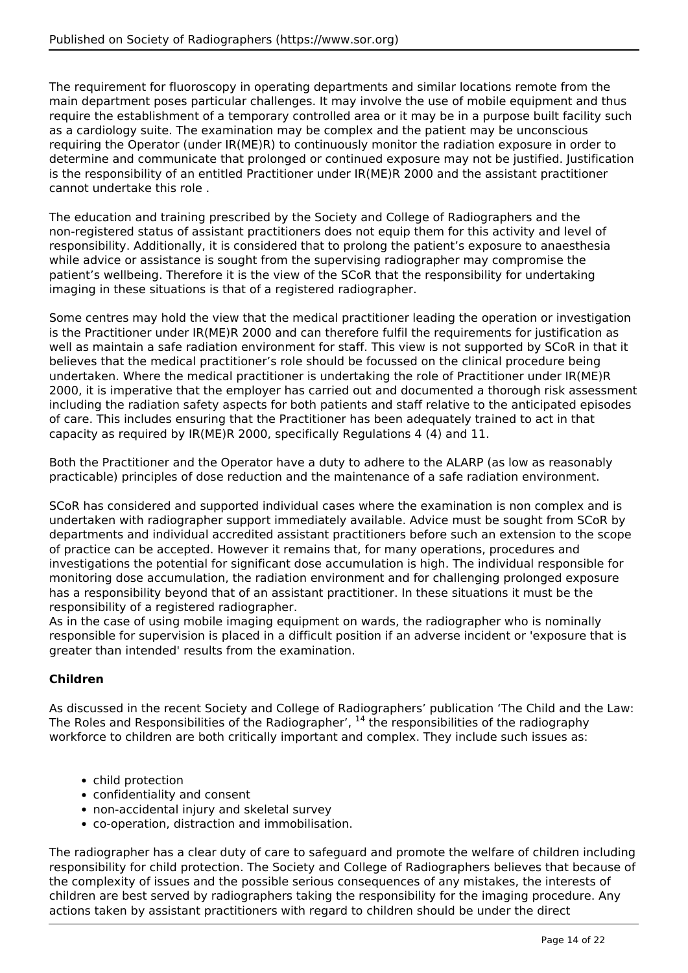The requirement for fluoroscopy in operating departments and similar locations remote from the main department poses particular challenges. It may involve the use of mobile equipment and thus require the establishment of a temporary controlled area or it may be in a purpose built facility such as a cardiology suite. The examination may be complex and the patient may be unconscious requiring the Operator (under IR(ME)R) to continuously monitor the radiation exposure in order to determine and communicate that prolonged or continued exposure may not be justified. Justification is the responsibility of an entitled Practitioner under IR(ME)R 2000 and the assistant practitioner cannot undertake this role .

The education and training prescribed by the Society and College of Radiographers and the non-registered status of assistant practitioners does not equip them for this activity and level of responsibility. Additionally, it is considered that to prolong the patient's exposure to anaesthesia while advice or assistance is sought from the supervising radiographer may compromise the patient's wellbeing. Therefore it is the view of the SCoR that the responsibility for undertaking imaging in these situations is that of a registered radiographer.

Some centres may hold the view that the medical practitioner leading the operation or investigation is the Practitioner under IR(ME)R 2000 and can therefore fulfil the requirements for justification as well as maintain a safe radiation environment for staff. This view is not supported by SCoR in that it believes that the medical practitioner's role should be focussed on the clinical procedure being undertaken. Where the medical practitioner is undertaking the role of Practitioner under IR(ME)R 2000, it is imperative that the employer has carried out and documented a thorough risk assessment including the radiation safety aspects for both patients and staff relative to the anticipated episodes of care. This includes ensuring that the Practitioner has been adequately trained to act in that capacity as required by IR(ME)R 2000, specifically Regulations 4 (4) and 11.

Both the Practitioner and the Operator have a duty to adhere to the ALARP (as low as reasonably practicable) principles of dose reduction and the maintenance of a safe radiation environment.

SCoR has considered and supported individual cases where the examination is non complex and is undertaken with radiographer support immediately available. Advice must be sought from SCoR by departments and individual accredited assistant practitioners before such an extension to the scope of practice can be accepted. However it remains that, for many operations, procedures and investigations the potential for significant dose accumulation is high. The individual responsible for monitoring dose accumulation, the radiation environment and for challenging prolonged exposure has a responsibility beyond that of an assistant practitioner. In these situations it must be the responsibility of a registered radiographer.

As in the case of using mobile imaging equipment on wards, the radiographer who is nominally responsible for supervision is placed in a difficult position if an adverse incident or 'exposure that is greater than intended' results from the examination.

# **Children**

As discussed in the recent Society and College of Radiographers' publication 'The Child and the Law: The Roles and Responsibilities of the Radiographer',  $^{14}$  the responsibilities of the radiography workforce to children are both critically important and complex. They include such issues as:

- child protection
- confidentiality and consent
- non-accidental injury and skeletal survey
- co-operation, distraction and immobilisation.

The radiographer has a clear duty of care to safeguard and promote the welfare of children including responsibility for child protection. The Society and College of Radiographers believes that because of the complexity of issues and the possible serious consequences of any mistakes, the interests of children are best served by radiographers taking the responsibility for the imaging procedure. Any actions taken by assistant practitioners with regard to children should be under the direct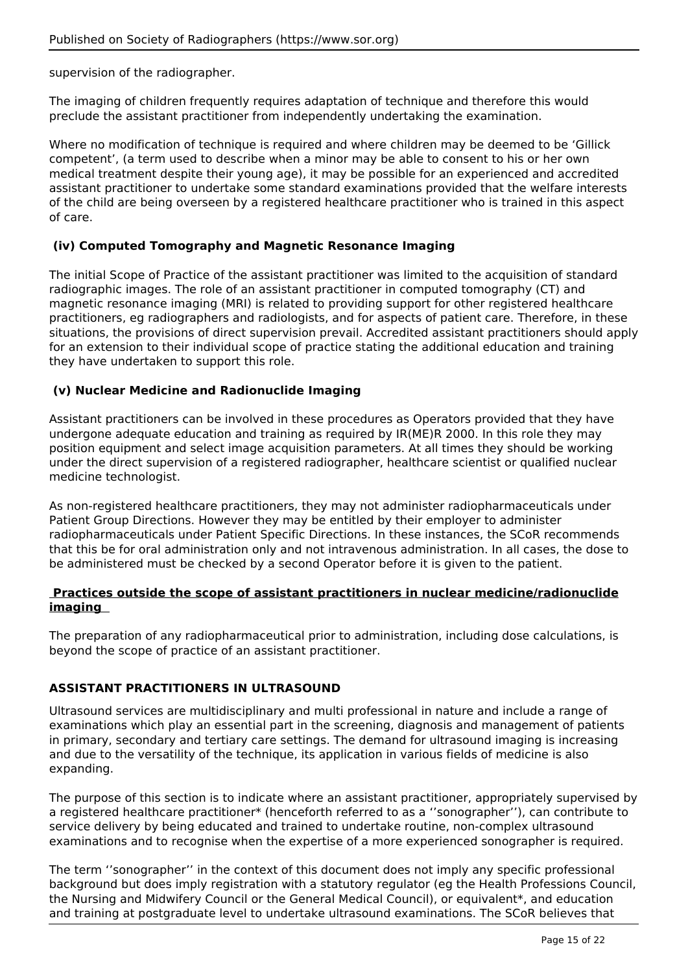supervision of the radiographer.

The imaging of children frequently requires adaptation of technique and therefore this would preclude the assistant practitioner from independently undertaking the examination.

Where no modification of technique is required and where children may be deemed to be 'Gillick competent', (a term used to describe when a minor may be able to consent to his or her own medical treatment despite their young age), it may be possible for an experienced and accredited assistant practitioner to undertake some standard examinations provided that the welfare interests of the child are being overseen by a registered healthcare practitioner who is trained in this aspect of care.

### **(iv) Computed Tomography and Magnetic Resonance Imaging**

The initial Scope of Practice of the assistant practitioner was limited to the acquisition of standard radiographic images. The role of an assistant practitioner in computed tomography (CT) and magnetic resonance imaging (MRI) is related to providing support for other registered healthcare practitioners, eg radiographers and radiologists, and for aspects of patient care. Therefore, in these situations, the provisions of direct supervision prevail. Accredited assistant practitioners should apply for an extension to their individual scope of practice stating the additional education and training they have undertaken to support this role.

### **(v) Nuclear Medicine and Radionuclide Imaging**

Assistant practitioners can be involved in these procedures as Operators provided that they have undergone adequate education and training as required by IR(ME)R 2000. In this role they may position equipment and select image acquisition parameters. At all times they should be working under the direct supervision of a registered radiographer, healthcare scientist or qualified nuclear medicine technologist.

As non-registered healthcare practitioners, they may not administer radiopharmaceuticals under Patient Group Directions. However they may be entitled by their employer to administer radiopharmaceuticals under Patient Specific Directions. In these instances, the SCoR recommends that this be for oral administration only and not intravenous administration. In all cases, the dose to be administered must be checked by a second Operator before it is given to the patient.

#### **Practices outside the scope of assistant practitioners in nuclear medicine/radionuclide imaging**

The preparation of any radiopharmaceutical prior to administration, including dose calculations, is beyond the scope of practice of an assistant practitioner.

### **ASSISTANT PRACTITIONERS IN ULTRASOUND**

Ultrasound services are multidisciplinary and multi professional in nature and include a range of examinations which play an essential part in the screening, diagnosis and management of patients in primary, secondary and tertiary care settings. The demand for ultrasound imaging is increasing and due to the versatility of the technique, its application in various fields of medicine is also expanding.

The purpose of this section is to indicate where an assistant practitioner, appropriately supervised by a registered healthcare practitioner\* (henceforth referred to as a ''sonographer''), can contribute to service delivery by being educated and trained to undertake routine, non-complex ultrasound examinations and to recognise when the expertise of a more experienced sonographer is required.

The term ''sonographer'' in the context of this document does not imply any specific professional background but does imply registration with a statutory regulator (eg the Health Professions Council, the Nursing and Midwifery Council or the General Medical Council), or equivalent\*, and education and training at postgraduate level to undertake ultrasound examinations. The SCoR believes that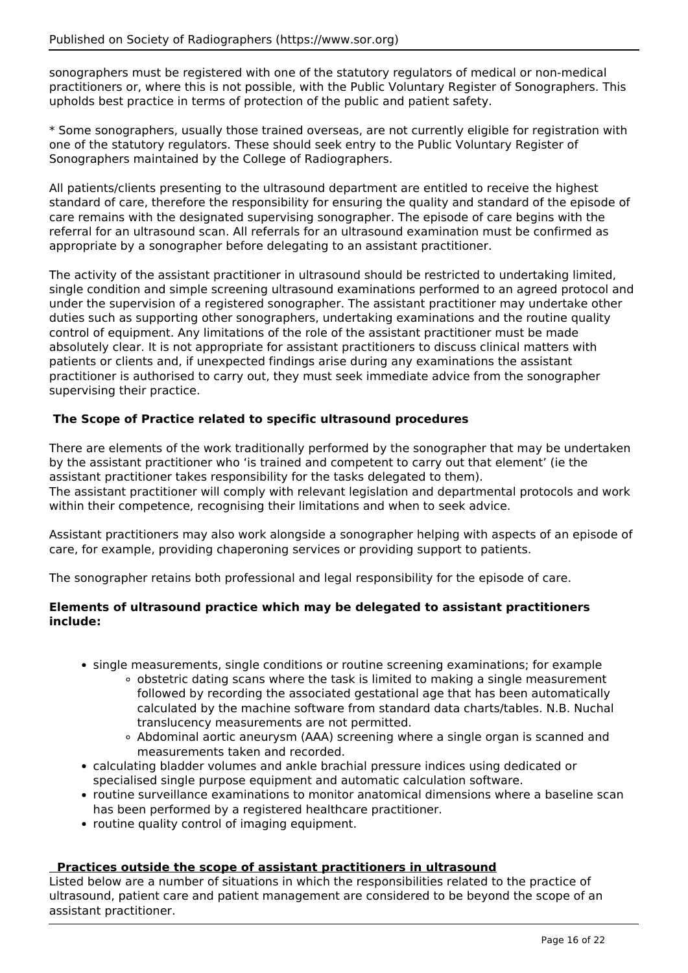sonographers must be registered with one of the statutory regulators of medical or non-medical practitioners or, where this is not possible, with the Public Voluntary Register of Sonographers. This upholds best practice in terms of protection of the public and patient safety.

\* Some sonographers, usually those trained overseas, are not currently eligible for registration with one of the statutory regulators. These should seek entry to the Public Voluntary Register of Sonographers maintained by the College of Radiographers.

All patients/clients presenting to the ultrasound department are entitled to receive the highest standard of care, therefore the responsibility for ensuring the quality and standard of the episode of care remains with the designated supervising sonographer. The episode of care begins with the referral for an ultrasound scan. All referrals for an ultrasound examination must be confirmed as appropriate by a sonographer before delegating to an assistant practitioner.

The activity of the assistant practitioner in ultrasound should be restricted to undertaking limited, single condition and simple screening ultrasound examinations performed to an agreed protocol and under the supervision of a registered sonographer. The assistant practitioner may undertake other duties such as supporting other sonographers, undertaking examinations and the routine quality control of equipment. Any limitations of the role of the assistant practitioner must be made absolutely clear. It is not appropriate for assistant practitioners to discuss clinical matters with patients or clients and, if unexpected findings arise during any examinations the assistant practitioner is authorised to carry out, they must seek immediate advice from the sonographer supervising their practice.

## **The Scope of Practice related to specific ultrasound procedures**

There are elements of the work traditionally performed by the sonographer that may be undertaken by the assistant practitioner who 'is trained and competent to carry out that element' (ie the assistant practitioner takes responsibility for the tasks delegated to them). The assistant practitioner will comply with relevant legislation and departmental protocols and work within their competence, recognising their limitations and when to seek advice.

Assistant practitioners may also work alongside a sonographer helping with aspects of an episode of care, for example, providing chaperoning services or providing support to patients.

The sonographer retains both professional and legal responsibility for the episode of care.

### **Elements of ultrasound practice which may be delegated to assistant practitioners include:**

- single measurements, single conditions or routine screening examinations; for example
	- $\circ$  obstetric dating scans where the task is limited to making a single measurement followed by recording the associated gestational age that has been automatically calculated by the machine software from standard data charts/tables. N.B. Nuchal translucency measurements are not permitted.
	- Abdominal aortic aneurysm (AAA) screening where a single organ is scanned and measurements taken and recorded.
- calculating bladder volumes and ankle brachial pressure indices using dedicated or specialised single purpose equipment and automatic calculation software.
- routine surveillance examinations to monitor anatomical dimensions where a baseline scan has been performed by a registered healthcare practitioner.
- routine quality control of imaging equipment.

### **Practices outside the scope of assistant practitioners in ultrasound**

Listed below are a number of situations in which the responsibilities related to the practice of ultrasound, patient care and patient management are considered to be beyond the scope of an assistant practitioner.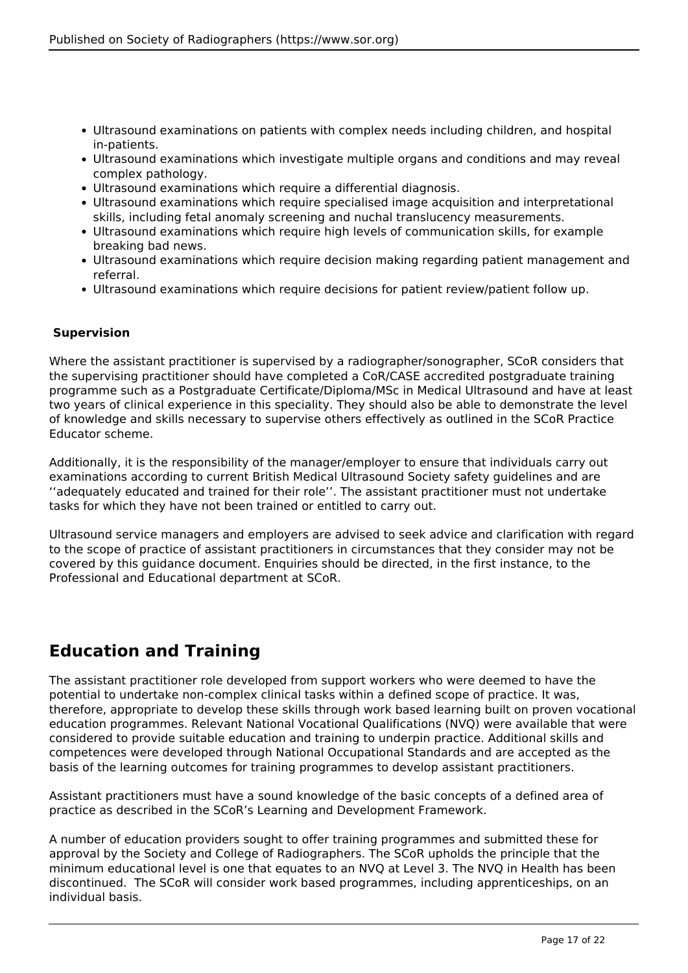- Ultrasound examinations on patients with complex needs including children, and hospital in-patients.
- Ultrasound examinations which investigate multiple organs and conditions and may reveal complex pathology.
- Ultrasound examinations which require a differential diagnosis.
- Ultrasound examinations which require specialised image acquisition and interpretational skills, including fetal anomaly screening and nuchal translucency measurements.
- Ultrasound examinations which require high levels of communication skills, for example breaking bad news.
- Ultrasound examinations which require decision making regarding patient management and referral.
- Ultrasound examinations which require decisions for patient review/patient follow up.

## **Supervision**

Where the assistant practitioner is supervised by a radiographer/sonographer, SCoR considers that the supervising practitioner should have completed a CoR/CASE accredited postgraduate training programme such as a Postgraduate Certificate/Diploma/MSc in Medical Ultrasound and have at least two years of clinical experience in this speciality. They should also be able to demonstrate the level of knowledge and skills necessary to supervise others effectively as outlined in the SCoR Practice Educator scheme.

Additionally, it is the responsibility of the manager/employer to ensure that individuals carry out examinations according to current British Medical Ultrasound Society safety guidelines and are ''adequately educated and trained for their role''. The assistant practitioner must not undertake tasks for which they have not been trained or entitled to carry out.

Ultrasound service managers and employers are advised to seek advice and clarification with regard to the scope of practice of assistant practitioners in circumstances that they consider may not be covered by this guidance document. Enquiries should be directed, in the first instance, to the Professional and Educational department at SCoR.

# **Education and Training**

The assistant practitioner role developed from support workers who were deemed to have the potential to undertake non-complex clinical tasks within a defined scope of practice. It was, therefore, appropriate to develop these skills through work based learning built on proven vocational education programmes. Relevant National Vocational Qualifications (NVQ) were available that were considered to provide suitable education and training to underpin practice. Additional skills and competences were developed through National Occupational Standards and are accepted as the basis of the learning outcomes for training programmes to develop assistant practitioners.

Assistant practitioners must have a sound knowledge of the basic concepts of a defined area of practice as described in the SCoR's Learning and Development Framework.

A number of education providers sought to offer training programmes and submitted these for approval by the Society and College of Radiographers. The SCoR upholds the principle that the minimum educational level is one that equates to an NVQ at Level 3. The NVQ in Health has been discontinued. The SCoR will consider work based programmes, including apprenticeships, on an individual basis.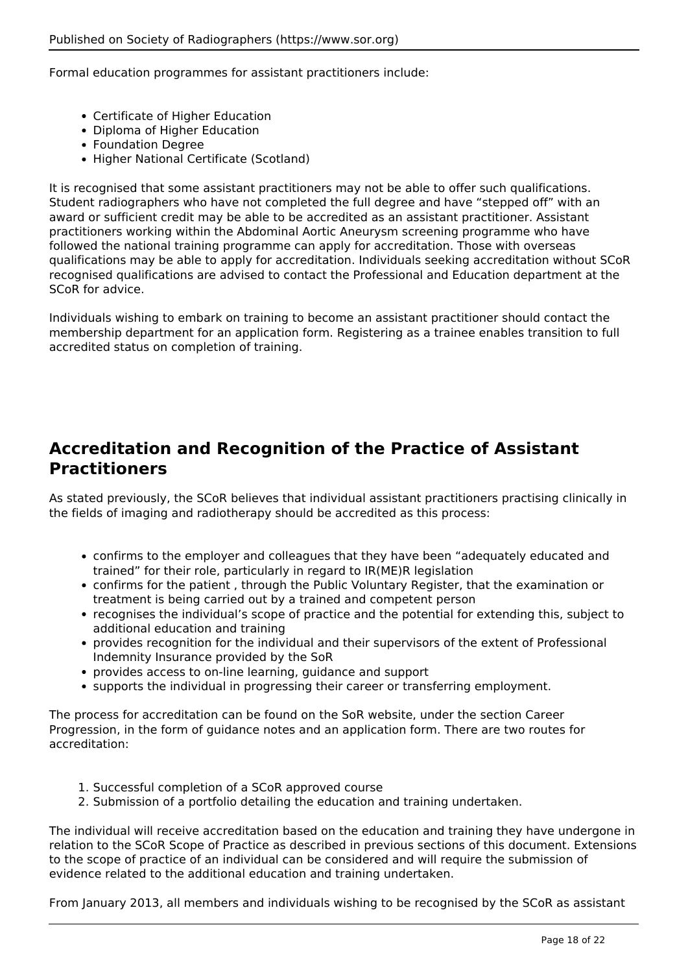Formal education programmes for assistant practitioners include:

- Certificate of Higher Education
- Diploma of Higher Education
- Foundation Degree
- Higher National Certificate (Scotland)

It is recognised that some assistant practitioners may not be able to offer such qualifications. Student radiographers who have not completed the full degree and have "stepped off" with an award or sufficient credit may be able to be accredited as an assistant practitioner. Assistant practitioners working within the Abdominal Aortic Aneurysm screening programme who have followed the national training programme can apply for accreditation. Those with overseas qualifications may be able to apply for accreditation. Individuals seeking accreditation without SCoR recognised qualifications are advised to contact the Professional and Education department at the SCoR for advice.

Individuals wishing to embark on training to become an assistant practitioner should contact the membership department for an application form. Registering as a trainee enables transition to full accredited status on completion of training.

# **Accreditation and Recognition of the Practice of Assistant Practitioners**

As stated previously, the SCoR believes that individual assistant practitioners practising clinically in the fields of imaging and radiotherapy should be accredited as this process:

- confirms to the employer and colleagues that they have been "adequately educated and trained" for their role, particularly in regard to IR(ME)R legislation
- confirms for the patient , through the Public Voluntary Register, that the examination or treatment is being carried out by a trained and competent person
- recognises the individual's scope of practice and the potential for extending this, subject to additional education and training
- provides recognition for the individual and their supervisors of the extent of Professional Indemnity Insurance provided by the SoR
- provides access to on-line learning, guidance and support
- supports the individual in progressing their career or transferring employment.

The process for accreditation can be found on the SoR website, under the section Career Progression, in the form of guidance notes and an application form. There are two routes for accreditation:

- 1. Successful completion of a SCoR approved course
- 2. Submission of a portfolio detailing the education and training undertaken.

The individual will receive accreditation based on the education and training they have undergone in relation to the SCoR Scope of Practice as described in previous sections of this document. Extensions to the scope of practice of an individual can be considered and will require the submission of evidence related to the additional education and training undertaken.

From January 2013, all members and individuals wishing to be recognised by the SCoR as assistant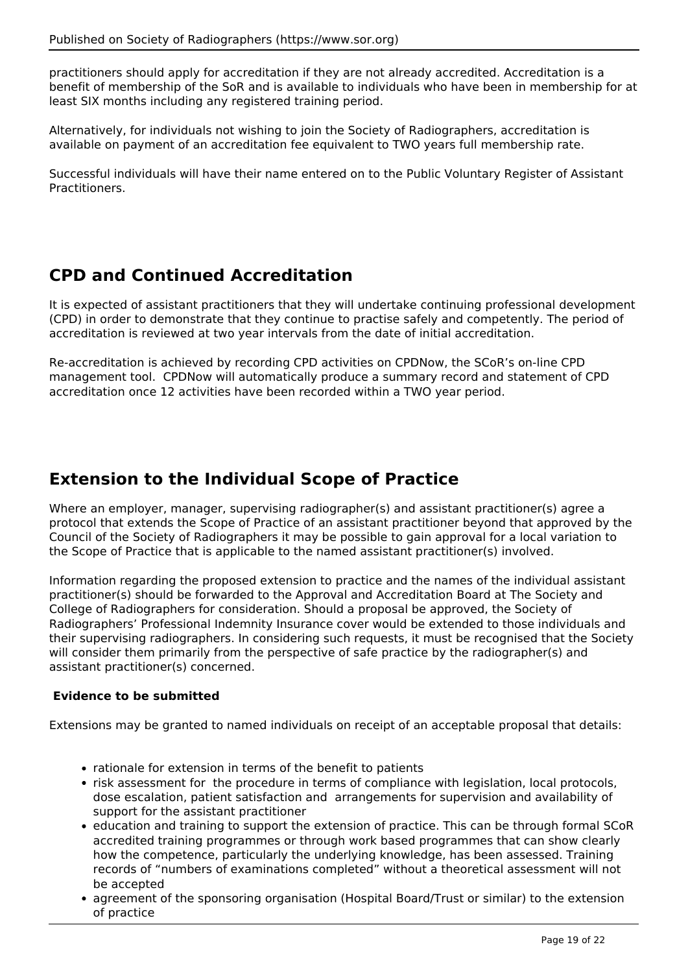practitioners should apply for accreditation if they are not already accredited. Accreditation is a benefit of membership of the SoR and is available to individuals who have been in membership for at least SIX months including any registered training period.

Alternatively, for individuals not wishing to join the Society of Radiographers, accreditation is available on payment of an accreditation fee equivalent to TWO years full membership rate.

Successful individuals will have their name entered on to the Public Voluntary Register of Assistant Practitioners.

# **CPD and Continued Accreditation**

It is expected of assistant practitioners that they will undertake continuing professional development (CPD) in order to demonstrate that they continue to practise safely and competently. The period of accreditation is reviewed at two year intervals from the date of initial accreditation.

Re-accreditation is achieved by recording CPD activities on CPDNow, the SCoR's on-line CPD management tool. CPDNow will automatically produce a summary record and statement of CPD accreditation once 12 activities have been recorded within a TWO year period.

# **Extension to the Individual Scope of Practice**

Where an employer, manager, supervising radiographer(s) and assistant practitioner(s) agree a protocol that extends the Scope of Practice of an assistant practitioner beyond that approved by the Council of the Society of Radiographers it may be possible to gain approval for a local variation to the Scope of Practice that is applicable to the named assistant practitioner(s) involved.

Information regarding the proposed extension to practice and the names of the individual assistant practitioner(s) should be forwarded to the Approval and Accreditation Board at The Society and College of Radiographers for consideration. Should a proposal be approved, the Society of Radiographers' Professional Indemnity Insurance cover would be extended to those individuals and their supervising radiographers. In considering such requests, it must be recognised that the Society will consider them primarily from the perspective of safe practice by the radiographer(s) and assistant practitioner(s) concerned.

### **Evidence to be submitted**

Extensions may be granted to named individuals on receipt of an acceptable proposal that details:

- rationale for extension in terms of the benefit to patients
- risk assessment for the procedure in terms of compliance with legislation, local protocols, dose escalation, patient satisfaction and arrangements for supervision and availability of support for the assistant practitioner
- education and training to support the extension of practice. This can be through formal SCoR accredited training programmes or through work based programmes that can show clearly how the competence, particularly the underlying knowledge, has been assessed. Training records of "numbers of examinations completed" without a theoretical assessment will not be accepted
- agreement of the sponsoring organisation (Hospital Board/Trust or similar) to the extension of practice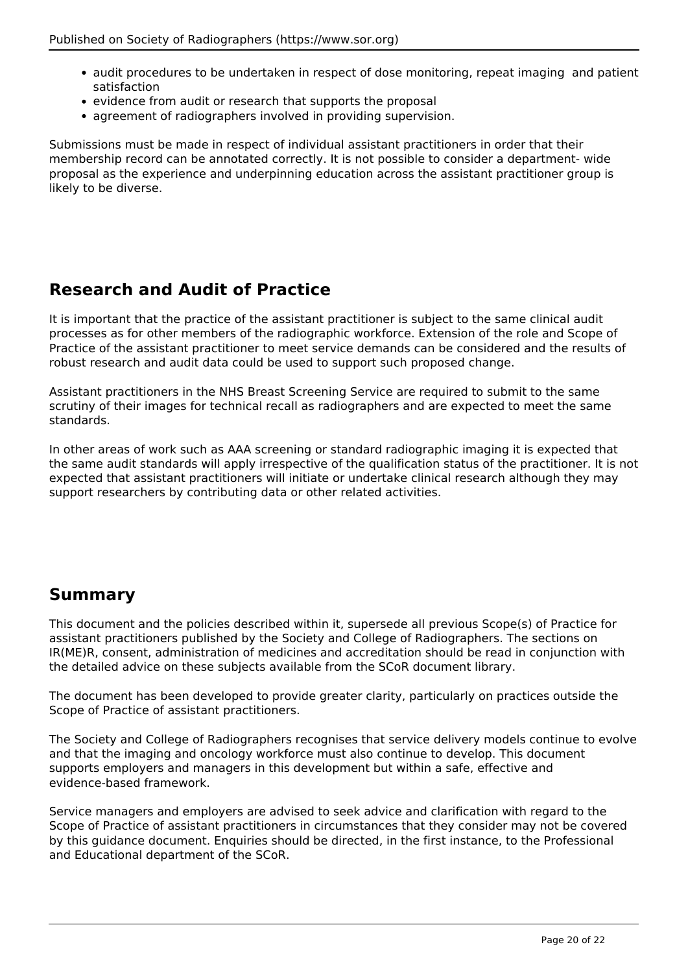- audit procedures to be undertaken in respect of dose monitoring, repeat imaging and patient satisfaction
- evidence from audit or research that supports the proposal
- agreement of radiographers involved in providing supervision.

Submissions must be made in respect of individual assistant practitioners in order that their membership record can be annotated correctly. It is not possible to consider a department- wide proposal as the experience and underpinning education across the assistant practitioner group is likely to be diverse.

# **Research and Audit of Practice**

It is important that the practice of the assistant practitioner is subject to the same clinical audit processes as for other members of the radiographic workforce. Extension of the role and Scope of Practice of the assistant practitioner to meet service demands can be considered and the results of robust research and audit data could be used to support such proposed change.

Assistant practitioners in the NHS Breast Screening Service are required to submit to the same scrutiny of their images for technical recall as radiographers and are expected to meet the same standards.

In other areas of work such as AAA screening or standard radiographic imaging it is expected that the same audit standards will apply irrespective of the qualification status of the practitioner. It is not expected that assistant practitioners will initiate or undertake clinical research although they may support researchers by contributing data or other related activities.

# **Summary**

This document and the policies described within it, supersede all previous Scope(s) of Practice for assistant practitioners published by the Society and College of Radiographers. The sections on IR(ME)R, consent, administration of medicines and accreditation should be read in conjunction with the detailed advice on these subjects available from the SCoR document library.

The document has been developed to provide greater clarity, particularly on practices outside the Scope of Practice of assistant practitioners.

The Society and College of Radiographers recognises that service delivery models continue to evolve and that the imaging and oncology workforce must also continue to develop. This document supports employers and managers in this development but within a safe, effective and evidence-based framework.

Service managers and employers are advised to seek advice and clarification with regard to the Scope of Practice of assistant practitioners in circumstances that they consider may not be covered by this guidance document. Enquiries should be directed, in the first instance, to the Professional and Educational department of the SCoR.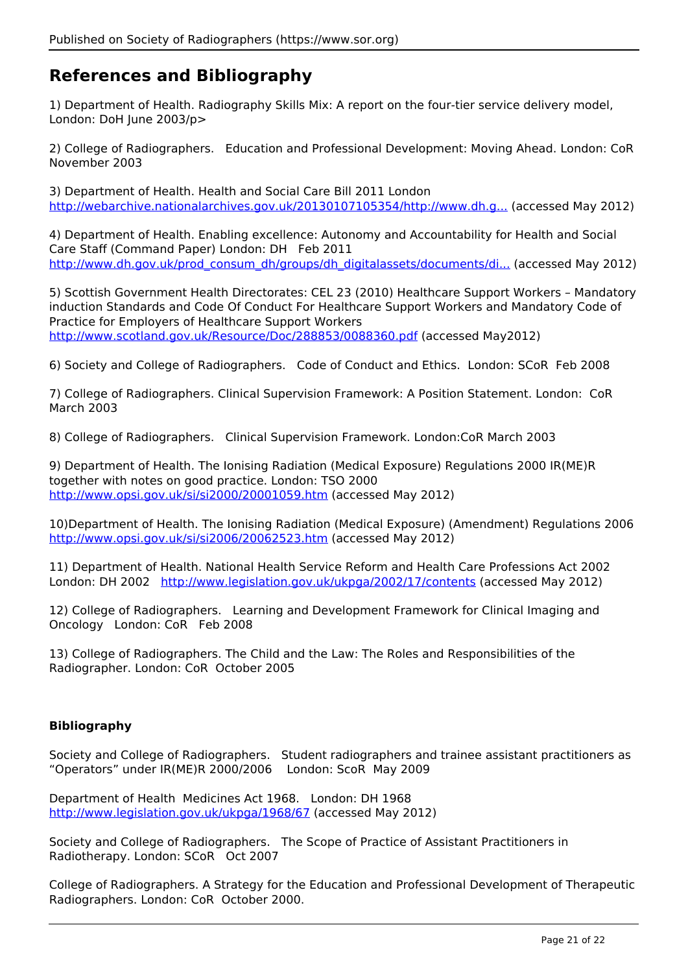# **References and Bibliography**

1) Department of Health. Radiography Skills Mix: A report on the four-tier service delivery model, London: DoH June 2003/p>

2) College of Radiographers. Education and Professional Development: Moving Ahead. London: CoR November 2003

3) Department of Health. Health and Social Care Bill 2011 London [http://webarchive.nationalarchives.gov.uk/20130107105354/http://www.dh.g...](http://webarchive.nationalarchives.gov.uk/20130107105354/http://www.dh.gov.uk/en/Publicationsandstatistics/Legislation/Actsandbills/HealthandSocialCareBill2011/index.htm) (accessed May 2012)

4) Department of Health. Enabling excellence: Autonomy and Accountability for Health and Social Care Staff (Command Paper) London: DH Feb 2011 [http://www.dh.gov.uk/prod\\_consum\\_dh/groups/dh\\_digitalassets/documents/di...](http://www.dh.gov.uk/prod_consum_dh/groups/dh_digitalassets/documents/digitalasset/dh_124374.pdf) (accessed May 2012)

5) Scottish Government Health Directorates: CEL 23 (2010) Healthcare Support Workers – Mandatory induction Standards and Code Of Conduct For Healthcare Support Workers and Mandatory Code of Practice for Employers of Healthcare Support Workers <http://www.scotland.gov.uk/Resource/Doc/288853/0088360.pdf>(accessed May2012)

6) Society and College of Radiographers. Code of Conduct and Ethics. London: SCoR Feb 2008

7) College of Radiographers. Clinical Supervision Framework: A Position Statement. London: CoR March 2003

8) College of Radiographers. Clinical Supervision Framework. London:CoR March 2003

9) Department of Health. The Ionising Radiation (Medical Exposure) Regulations 2000 IR(ME)R together with notes on good practice. London: TSO 2000 <http://www.opsi.gov.uk/si/si2000/20001059.htm>(accessed May 2012)

10)Department of Health. The Ionising Radiation (Medical Exposure) (Amendment) Regulations 2006 <http://www.opsi.gov.uk/si/si2006/20062523.htm>(accessed May 2012)

11) Department of Health. National Health Service Reform and Health Care Professions Act 2002 London: DH 2002 <http://www.legislation.gov.uk/ukpga/2002/17/contents>(accessed May 2012)

12) College of Radiographers. Learning and Development Framework for Clinical Imaging and Oncology London: CoR Feb 2008

13) College of Radiographers. The Child and the Law: The Roles and Responsibilities of the Radiographer. London: CoR October 2005

### **Bibliography**

Society and College of Radiographers. Student radiographers and trainee assistant practitioners as "Operators" under IR(ME)R 2000/2006 London: ScoR May 2009

Department of Health Medicines Act 1968. London: DH 1968 <http://www.legislation.gov.uk/ukpga/1968/67> (accessed May 2012)

Society and College of Radiographers. The Scope of Practice of Assistant Practitioners in Radiotherapy. London: SCoR Oct 2007

College of Radiographers. A Strategy for the Education and Professional Development of Therapeutic Radiographers. London: CoR October 2000.